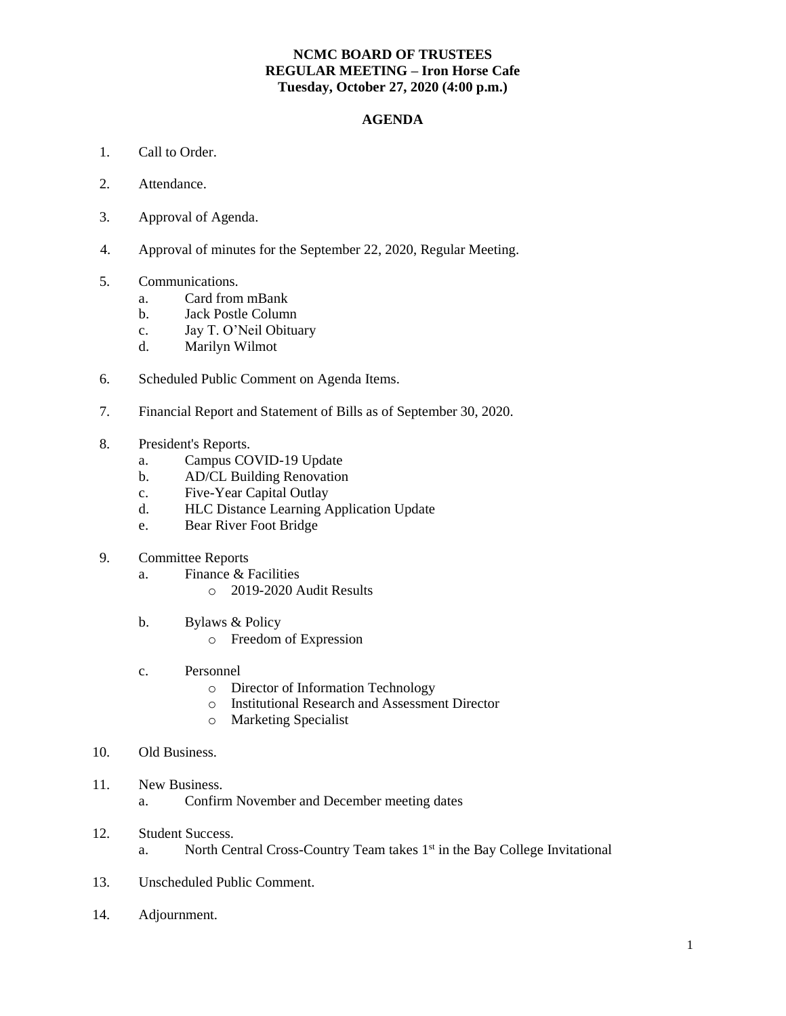## **NCMC BOARD OF TRUSTEES REGULAR MEETING – Iron Horse Cafe Tuesday, October 27, 2020 (4:00 p.m.)**

## **AGENDA**

- 1. Call to Order.
- 2. Attendance.
- 3. Approval of Agenda.
- 4. Approval of minutes for the September 22, 2020, Regular Meeting.
- 5. Communications.
	- a. Card from mBank
	- b. Jack Postle Column
	- c. Jay T. O'Neil Obituary
	- d. Marilyn Wilmot
- 6. Scheduled Public Comment on Agenda Items.
- 7. Financial Report and Statement of Bills as of September 30, 2020.
- 8. President's Reports.
	- a. Campus COVID-19 Update
	- b. AD/CL Building Renovation
	- c. Five-Year Capital Outlay
	- d. HLC Distance Learning Application Update
	- e. Bear River Foot Bridge
- 9. Committee Reports
	- a. Finance & Facilities
		- o 2019-2020 Audit Results
	- b. Bylaws & Policy
		- o Freedom of Expression
	- c. Personnel
		- o Director of Information Technology
		- o Institutional Research and Assessment Director
		- o Marketing Specialist
- 10. Old Business.
- 11. New Business.
	- a. Confirm November and December meeting dates
- 12. Student Success. a. North Central Cross-Country Team takes 1<sup>st</sup> in the Bay College Invitational
- 13. Unscheduled Public Comment.
- 14. Adjournment.